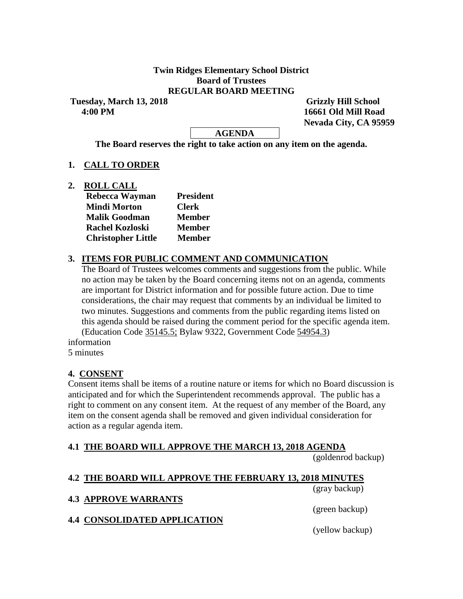### **Twin Ridges Elementary School District Board of Trustees REGULAR BOARD MEETING**

**Tuesday, March 13, 2018 Grizzly Hill School 4:00 PM 16661 Old Mill Road**

 **Nevada City, CA 95959**

### **AGENDA**

**The Board reserves the right to take action on any item on the agenda.**

### **1. CALL TO ORDER**

**2. ROLL CALL**

| Rebecca Wayman            | <b>President</b> |  |  |  |
|---------------------------|------------------|--|--|--|
| <b>Mindi Morton</b>       | <b>Clerk</b>     |  |  |  |
| <b>Malik Goodman</b>      | <b>Member</b>    |  |  |  |
| <b>Rachel Kozloski</b>    | <b>Member</b>    |  |  |  |
| <b>Christopher Little</b> | <b>Member</b>    |  |  |  |

### **3. ITEMS FOR PUBLIC COMMENT AND COMMUNICATION**

The Board of Trustees welcomes comments and suggestions from the public. While no action may be taken by the Board concerning items not on an agenda, comments are important for District information and for possible future action. Due to time considerations, the chair may request that comments by an individual be limited to two minutes. Suggestions and comments from the public regarding items listed on this agenda should be raised during the comment period for the specific agenda item. (Education Code 35145.5; Bylaw 9322, Government Code 54954.3)

information 5 minutes

#### **4. CONSENT**

Consent items shall be items of a routine nature or items for which no Board discussion is anticipated and for which the Superintendent recommends approval. The public has a right to comment on any consent item. At the request of any member of the Board, any item on the consent agenda shall be removed and given individual consideration for action as a regular agenda item.

# **4.1 THE BOARD WILL APPROVE THE MARCH 13, 2018 AGENDA**

(goldenrod backup)

# **4.2 THE BOARD WILL APPROVE THE FEBRUARY 13, 2018 MINUTES**

**4.3 APPROVE WARRANTS**

(green backup)

(gray backup)

**4.4 CONSOLIDATED APPLICATION**

(yellow backup)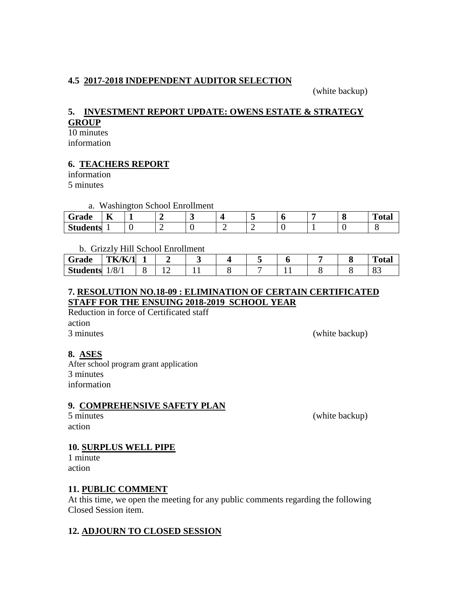# **4.5 2017-2018 INDEPENDENT AUDITOR SELECTION**

(white backup)

### **5. INVESTMENT REPORT UPDATE: OWENS ESTATE & STRATEGY GROUP**

10 minutes

information

# **6. TEACHERS REPORT**

information 5 minutes

a. Washington School Enrollment

| ~<br>Grade      | --<br>A  |  |     |   |  | $\mathbf{r}$<br>''otar |
|-----------------|----------|--|-----|---|--|------------------------|
| <b>Students</b> | <b>.</b> |  | . . | - |  |                        |

### b. Grizzly Hill School Enrollment

| Grade           | TK/K/<br>$\overline{14}$ |  |  |  |  | m<br>Fotal |
|-----------------|--------------------------|--|--|--|--|------------|
| <b>Students</b> | 1/8/1                    |  |  |  |  | o-<br>vJ   |

# **7. RESOLUTION NO.18-09 : ELIMINATION OF CERTAIN CERTIFICATED STAFF FOR THE ENSUING 2018-2019 SCHOOL YEAR**

Reduction in force of Certificated staff action 3 minutes (white backup)

# **8. ASES**

After school program grant application 3 minutes information

# **9. COMPREHENSIVE SAFETY PLAN**

# action

5 minutes (white backup)

# **10. SURPLUS WELL PIPE**

1 minute action

# **11. PUBLIC COMMENT**

At this time, we open the meeting for any public comments regarding the following Closed Session item.

# **12. ADJOURN TO CLOSED SESSION**